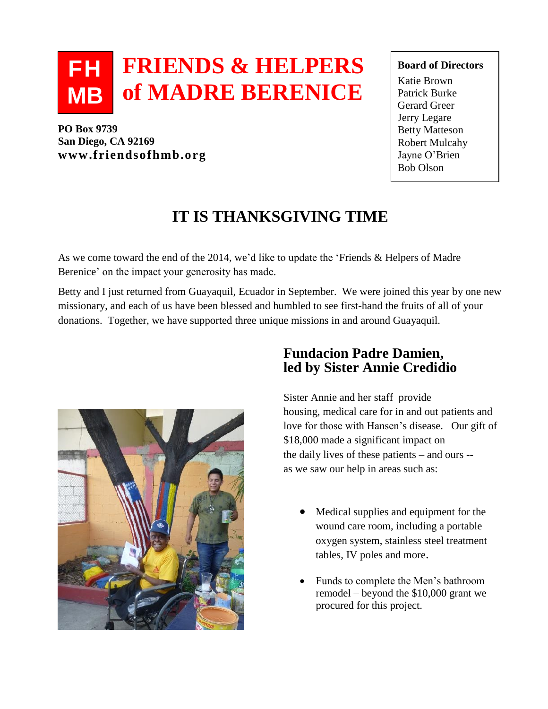### **FRIENDS & HELPERS of MADRE BERENICE FH MB**

**PO Box 9739 San Diego, CA 92169** B **www.friendsofhmb.org**

#### **Board of Directors**

Katie Brown Patrick Burke Gerard Greer Jerry Legare Betty Matteson Robert Mulcahy Jayne O'Brien Bob Olson

# **IT IS THANKSGIVING TIME**

As we come toward the end of the 2014, we'd like to update the 'Friends & Helpers of Madre Berenice' on the impact your generosity has made.

Betty and I just returned from Guayaquil, Ecuador in September. We were joined this year by one new missionary, and each of us have been blessed and humbled to see first-hand the fruits of all of your donations. Together, we have supported three unique missions in and around Guayaquil.



## **Fundacion Padre Damien, led by Sister Annie Credidio**

Sister Annie and her staff provide housing, medical care for in and out patients and love for those with Hansen's disease. Our gift of \$18,000 made a significant impact on the daily lives of these patients – and ours - as we saw our help in areas such as:

- Medical supplies and equipment for the wound care room, including a portable oxygen system, stainless steel treatment tables, IV poles and more.
- Funds to complete the Men's bathroom remodel – beyond the \$10,000 grant we procured for this project.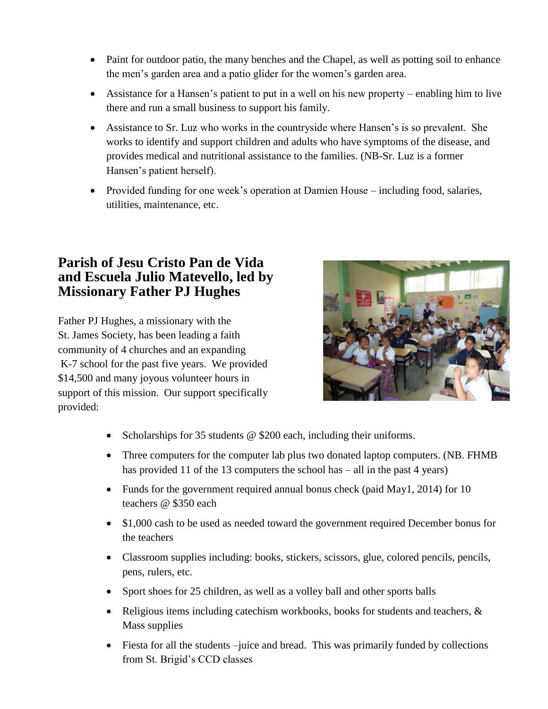- Paint for outdoor patio, the many benches and the Chapel, as well as potting soil to enhance the men's garden area and a patio glider for the women's garden area.
- Assistance for a Hansen's patient to put in a well on his new property enabling him to live there and run a small business to support his family.
- Assistance to Sr. Luz who works in the countryside where Hansen's is so prevalent. She works to identify and support children and adults who have symptoms of the disease, and provides medical and nutritional assistance to the families. (NB-Sr. Luz is a former Hansen's patient herself).
- Provided funding for one week's operation at Damien House including food, salaries, utilities, maintenance, etc.

## **Parish of Jesu Cristo Pan de Vida and Escuela Julio Matevello, led by Missionary Father PJ Hughes**

Father PJ Hughes, a missionary with the St. James Society, has been leading a faith community of 4 churches and an expanding K-7 school for the past five years. We provided \$14,500 and many joyous volunteer hours in support of this mission. Our support specifically provided:



- Scholarships for 35 students @ \$200 each, including their uniforms.
- Three computers for the computer lab plus two donated laptop computers. (NB. FHMB has provided 11 of the 13 computers the school has – all in the past 4 years)
- Funds for the government required annual bonus check (paid May1, 2014) for 10 teachers @ \$350 each
- \$1,000 cash to be used as needed toward the government required December bonus for the teachers
- Classroom supplies including: books, stickers, scissors, glue, colored pencils, pencils, pens, rulers, etc.
- Sport shoes for 25 children, as well as a volley ball and other sports balls
- Religious items including catechism workbooks, books for students and teachers,  $\&$ Mass supplies
- Fiesta for all the students –juice and bread. This was primarily funded by collections from St. Brigid's CCD classes